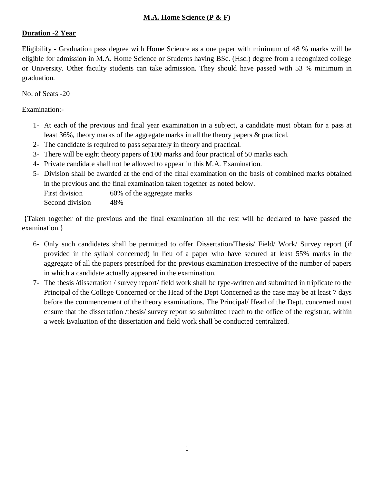#### **M.A. Home Science (P & F)**

#### **Duration -2 Year**

Eligibility - Graduation pass degree with Home Science as a one paper with minimum of 48 % marks will be eligible for admission in M.A. Home Science or Students having BSc. (Hsc.) degree from a recognized college or University. Other faculty students can take admission. They should have passed with 53 % minimum in graduation.

No. of Seats -20

Examination:-

- 1- At each of the previous and final year examination in a subject, a candidate must obtain for a pass at least 36%, theory marks of the aggregate marks in all the theory papers & practical.
- 2- The candidate is required to pass separately in theory and practical.
- 3- There will be eight theory papers of 100 marks and four practical of 50 marks each.
- 4- Private candidate shall not be allowed to appear in this M.A. Examination.
- 5- Division shall be awarded at the end of the final examination on the basis of combined marks obtained in the previous and the final examination taken together as noted below. First division 60% of the aggregate marks Second division 48%

{Taken together of the previous and the final examination all the rest will be declared to have passed the examination.}

- 6- Only such candidates shall be permitted to offer Dissertation/Thesis/ Field/ Work/ Survey report (if provided in the syllabi concerned) in lieu of a paper who have secured at least 55% marks in the aggregate of all the papers prescribed for the previous examination irrespective of the number of papers in which a candidate actually appeared in the examination.
- 7- The thesis /dissertation / survey report/ field work shall be type-written and submitted in triplicate to the Principal of the College Concerned or the Head of the Dept Concerned as the case may be at least 7 days before the commencement of the theory examinations. The Principal/ Head of the Dept. concerned must ensure that the dissertation /thesis/ survey report so submitted reach to the office of the registrar, within a week Evaluation of the dissertation and field work shall be conducted centralized.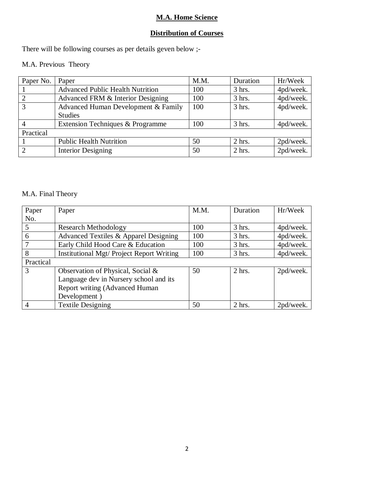#### **M.A. Home Science**

## **Distribution of Courses**

There will be following courses as per details geven below ;-

#### M.A. Previous Theory

| Paper No. | Paper                                   | M.M. | Duration | Hr/Week   |  |  |
|-----------|-----------------------------------------|------|----------|-----------|--|--|
|           | <b>Advanced Public Health Nutrition</b> | 100  | $3$ hrs. | 4pd/week. |  |  |
| 2         | Advanced FRM & Interior Designing       | 100  | $3$ hrs. | 4pd/week. |  |  |
| 3         | Advanced Human Development & Family     | 100  | $3$ hrs. | 4pd/week. |  |  |
|           | <b>Studies</b>                          |      |          |           |  |  |
|           | Extension Techniques & Programme        | 100  | $3$ hrs. | 4pd/week. |  |  |
| Practical |                                         |      |          |           |  |  |
|           | <b>Public Health Nutrition</b>          | 50   | $2$ hrs. | 2pd/week. |  |  |
| 2         | <b>Interior Designing</b>               | 50   | $2$ hrs. | 2pd/week. |  |  |

#### M.A. Final Theory

| Paper         | Paper                                     | M.M. | Duration | Hr/Week   |
|---------------|-------------------------------------------|------|----------|-----------|
| No.           |                                           |      |          |           |
| 5             | Research Methodology                      | 100  | $3$ hrs. | 4pd/week. |
| 6             | Advanced Textiles & Apparel Designing     | 100  | $3$ hrs. | 4pd/week. |
|               | Early Child Hood Care & Education         | 100  | 3 hrs.   | 4pd/week. |
| 8             | Institutional Mgt/ Project Report Writing | 100  | $3$ hrs. | 4pd/week. |
| Practical     |                                           |      |          |           |
| $\mathcal{R}$ | Observation of Physical, Social &         | 50   | $2$ hrs. | 2pd/week. |
|               | Language dev in Nursery school and its    |      |          |           |
|               | Report writing (Advanced Human            |      |          |           |
|               | Development)                              |      |          |           |
| 4             | <b>Textile Designing</b>                  | 50   | $2$ hrs. | 2pd/week. |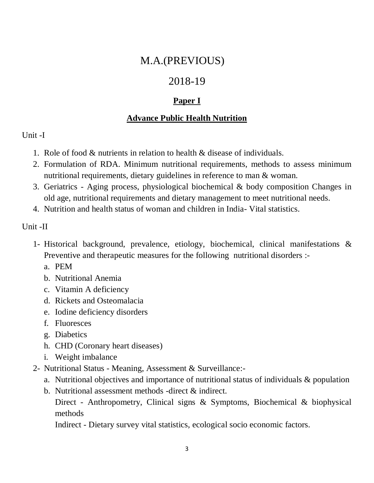## M.A.(PREVIOUS)

## 2018-19

## **Paper I**

## **Advance Public Health Nutrition**

## Unit -I

- 1. Role of food & nutrients in relation to health & disease of individuals.
- 2. Formulation of RDA. Minimum nutritional requirements, methods to assess minimum nutritional requirements, dietary guidelines in reference to man & woman.
- 3. Geriatrics Aging process, physiological biochemical & body composition Changes in old age, nutritional requirements and dietary management to meet nutritional needs.
- 4. Nutrition and health status of woman and children in India- Vital statistics.

### Unit -II

- 1- Historical background, prevalence, etiology, biochemical, clinical manifestations & Preventive and therapeutic measures for the following nutritional disorders :
	- a. PEM
	- b. Nutritional Anemia
	- c. Vitamin A deficiency
	- d. Rickets and Osteomalacia
	- e. Iodine deficiency disorders
	- f. Fluoresces
	- g. Diabetics
	- h. CHD (Coronary heart diseases)
	- i. Weight imbalance
- 2- Nutritional Status Meaning, Assessment & Surveillance:
	- a. Nutritional objectives and importance of nutritional status of individuals & population
	- b. Nutritional assessment methods -direct & indirect.
		- Direct Anthropometry, Clinical signs & Symptoms, Biochemical & biophysical methods

Indirect - Dietary survey vital statistics, ecological socio economic factors.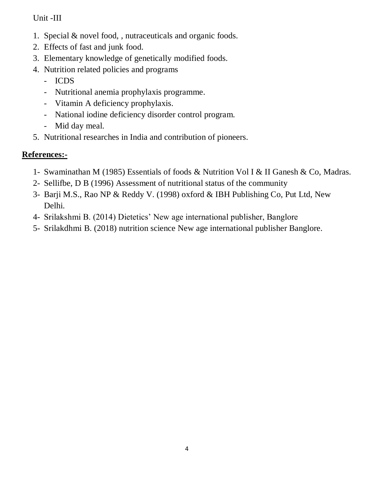#### Unit -III

- 1. Special & novel food, , nutraceuticals and organic foods.
- 2. Effects of fast and junk food.
- 3. Elementary knowledge of genetically modified foods.
- 4. Nutrition related policies and programs
	- ICDS
	- Nutritional anemia prophylaxis programme.
	- Vitamin A deficiency prophylaxis.
	- National iodine deficiency disorder control program.
	- Mid day meal.
- 5. Nutritional researches in India and contribution of pioneers.

- 1- Swaminathan M (1985) Essentials of foods & Nutrition Vol I & II Ganesh & Co, Madras.
- 2- Sellifbe, D B (1996) Assessment of nutritional status of the community
- 3- Barji M.S., Rao NP & Reddy V. (1998) oxford & IBH Publishing Co, Put Ltd, New Delhi.
- 4- Srilakshmi B. (2014) Dietetics' New age international publisher, Banglore
- 5- Srilakdhmi B. (2018) nutrition science New age international publisher Banglore.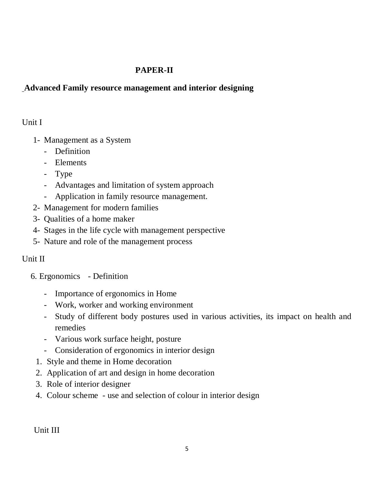#### **PAPER-II**

#### **Advanced Family resource management and interior designing**

#### Unit I

- 1- Management as a System
	- Definition
	- Elements
	- Type
	- Advantages and limitation of system approach
	- Application in family resource management.
- 2- Management for modern families
- 3- Qualities of a home maker
- 4- Stages in the life cycle with management perspective
- 5- Nature and role of the management process

#### Unit II

- 6. Ergonomics Definition
	- Importance of ergonomics in Home
	- Work, worker and working environment
	- Study of different body postures used in various activities, its impact on health and remedies
	- Various work surface height, posture
	- Consideration of ergonomics in interior design
	- 1. Style and theme in Home decoration
	- 2. Application of art and design in home decoration
	- 3. Role of interior designer
	- 4. Colour scheme use and selection of colour in interior design

Unit III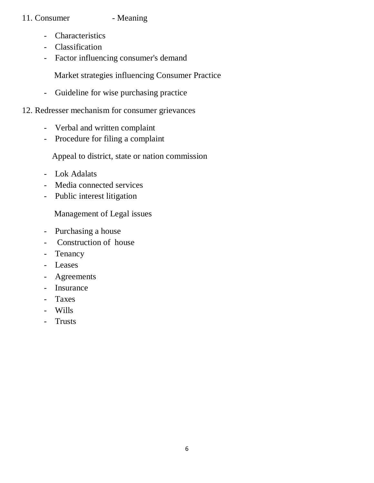#### 11. Consumer - Meaning

- Characteristics
- Classification
- Factor influencing consumer's demand

Market strategies influencing Consumer Practice

- Guideline for wise purchasing practice

#### 12. Redresser mechanism for consumer grievances

- Verbal and written complaint
- Procedure for filing a complaint

Appeal to district, state or nation commission

- Lok Adalats
- Media connected services
- Public interest litigation

Management of Legal issues

- Purchasing a house
- Construction of house
- Tenancy
- Leases
- Agreements
- Insurance
- Taxes
- Wills
- Trusts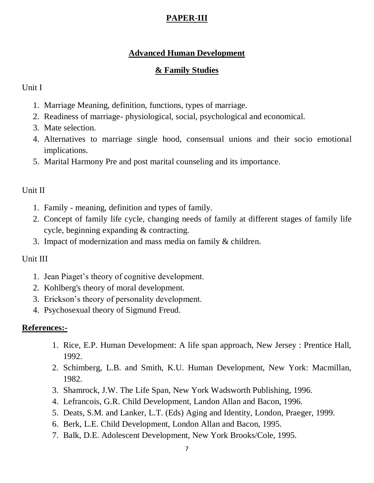## **PAPER-III**

#### **Advanced Human Development**

#### **& Family Studies**

#### Unit I

- 1. Marriage Meaning, definition, functions, types of marriage.
- 2. Readiness of marriage- physiological, social, psychological and economical.
- 3. Mate selection.
- 4. Alternatives to marriage single hood, consensual unions and their socio emotional implications.
- 5. Marital Harmony Pre and post marital counseling and its importance.

#### Unit II

- 1. Family meaning, definition and types of family.
- 2. Concept of family life cycle, changing needs of family at different stages of family life cycle, beginning expanding & contracting.
- 3. Impact of modernization and mass media on family & children.

#### Unit III

- 1. Jean Piaget's theory of cognitive development.
- 2. Kohlberg's theory of moral development.
- 3. Erickson's theory of personality development.
- 4. Psychosexual theory of Sigmund Freud.

- 1. Rice, E.P. Human Development: A life span approach, New Jersey : Prentice Hall, 1992.
- 2. Schimberg, L.B. and Smith, K.U. Human Development, New York: Macmillan, 1982.
- 3. Shamrock, J.W. The Life Span, New York Wadsworth Publishing, 1996.
- 4. Lefrancois, G.R. Child Development, Landon Allan and Bacon, 1996.
- 5. Deats, S.M. and Lanker, L.T. (Eds) Aging and Identity, London, Praeger, 1999.
- 6. Berk, L.E. Child Development, London Allan and Bacon, 1995.
- 7. Balk, D.E. Adolescent Development, New York Brooks/Cole, 1995.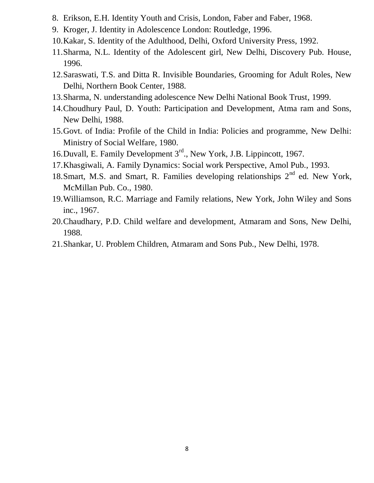- 8. Erikson, E.H. Identity Youth and Crisis, London, Faber and Faber, 1968.
- 9. Kroger, J. Identity in Adolescence London: Routledge, 1996.
- 10.Kakar, S. Identity of the Adulthood, Delhi, Oxford University Press, 1992.
- 11.Sharma, N.L. Identity of the Adolescent girl, New Delhi, Discovery Pub. House, 1996.
- 12.Saraswati, T.S. and Ditta R. Invisible Boundaries, Grooming for Adult Roles, New Delhi, Northern Book Center, 1988.
- 13.Sharma, N. understanding adolescence New Delhi National Book Trust, 1999.
- 14.Choudhury Paul, D. Youth: Participation and Development, Atma ram and Sons, New Delhi, 1988.
- 15.Govt. of India: Profile of the Child in India: Policies and programme, New Delhi: Ministry of Social Welfare, 1980.
- 16.Duvall, E. Family Development 3rd., New York, J.B. Lippincott, 1967.
- 17.Khasgiwali, A. Family Dynamics: Social work Perspective, Amol Pub., 1993.
- 18. Smart, M.S. and Smart, R. Families developing relationships  $2<sup>nd</sup>$  ed. New York, McMillan Pub. Co., 1980.
- 19.Williamson, R.C. Marriage and Family relations, New York, John Wiley and Sons inc., 1967.
- 20.Chaudhary, P.D. Child welfare and development, Atmaram and Sons, New Delhi, 1988.
- 21.Shankar, U. Problem Children, Atmaram and Sons Pub., New Delhi, 1978.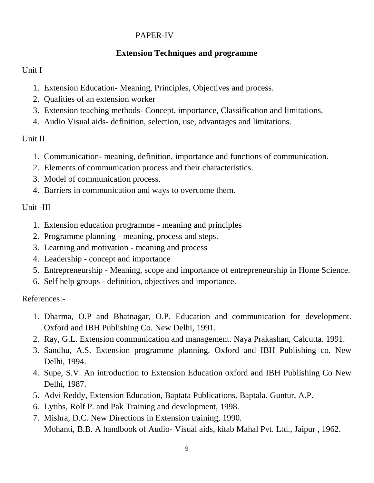#### PAPER-IV

#### **Extension Techniques and programme**

#### Unit I

- 1. Extension Education- Meaning, Principles, Objectives and process.
- 2. Qualities of an extension worker
- 3. Extension teaching methods- Concept, importance, Classification and limitations.
- 4. Audio Visual aids- definition, selection, use, advantages and limitations.

### Unit II

- 1. Communication- meaning, definition, importance and functions of communication.
- 2. Elements of communication process and their characteristics.
- 3. Model of communication process.
- 4. Barriers in communication and ways to overcome them.

### Unit -III

- 1. Extension education programme meaning and principles
- 2. Programme planning meaning, process and steps.
- 3. Learning and motivation meaning and process
- 4. Leadership concept and importance
- 5. Entrepreneurship Meaning, scope and importance of entrepreneurship in Home Science.
- 6. Self help groups definition, objectives and importance.

- 1. Dharma, O.P and Bhatnagar, O.P. Education and communication for development. Oxford and IBH Publishing Co. New Delhi, 1991.
- 2. Ray, G.L. Extension communication and management. Naya Prakashan, Calcutta. 1991.
- 3. Sandhu, A.S. Extension programme planning. Oxford and IBH Publishing co. New Delhi, 1994.
- 4. Supe, S.V. An introduction to Extension Education oxford and IBH Publishing Co New Delhi, 1987.
- 5. Advi Reddy, Extension Education, Baptata Publications. Baptala. Guntur, A.P.
- 6. Lytibs, Rolf P. and Pak Training and development, 1998.
- 7. Mishra, D.C. New Directions in Extension training, 1990. Mohanti, B.B. A handbook of Audio- Visual aids, kitab Mahal Pvt. Ltd., Jaipur , 1962.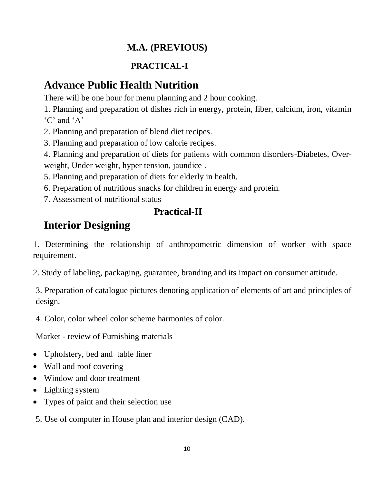## **M.A. (PREVIOUS)**

## **PRACTICAL-I**

# **Advance Public Health Nutrition**

There will be one hour for menu planning and 2 hour cooking.

1. Planning and preparation of dishes rich in energy, protein, fiber, calcium, iron, vitamin 'C' and 'A'

2. Planning and preparation of blend diet recipes.

3. Planning and preparation of low calorie recipes.

4. Planning and preparation of diets for patients with common disorders-Diabetes, Overweight, Under weight, hyper tension, jaundice .

5. Planning and preparation of diets for elderly in health.

6. Preparation of nutritious snacks for children in energy and protein.

7. Assessment of nutritional status

## **Practical-II**

# **Interior Designing**

1. Determining the relationship of anthropometric dimension of worker with space requirement.

2. Study of labeling, packaging, guarantee, branding and its impact on consumer attitude.

3. Preparation of catalogue pictures denoting application of elements of art and principles of design.

4. Color, color wheel color scheme harmonies of color.

Market - review of Furnishing materials

- Upholstery, bed and table liner
- Wall and roof covering
- Window and door treatment
- Lighting system
- Types of paint and their selection use

5. Use of computer in House plan and interior design (CAD).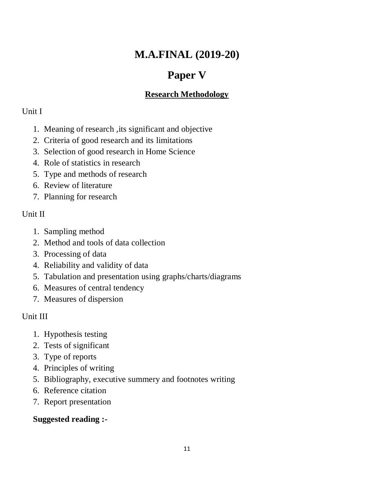# **M.A.FINAL (2019-20)**

# **Paper V**

## **Research Methodology**

#### Unit I

- 1. Meaning of research ,its significant and objective
- 2. Criteria of good research and its limitations
- 3. Selection of good research in Home Science
- 4. Role of statistics in research
- 5. Type and methods of research
- 6. Review of literature
- 7. Planning for research

### Unit II

- 1. Sampling method
- 2. Method and tools of data collection
- 3. Processing of data
- 4. Reliability and validity of data
- 5. Tabulation and presentation using graphs/charts/diagrams
- 6. Measures of central tendency
- 7. Measures of dispersion

## Unit III

- 1. Hypothesis testing
- 2. Tests of significant
- 3. Type of reports
- 4. Principles of writing
- 5. Bibliography, executive summery and footnotes writing
- 6. Reference citation
- 7. Report presentation

## **Suggested reading :-**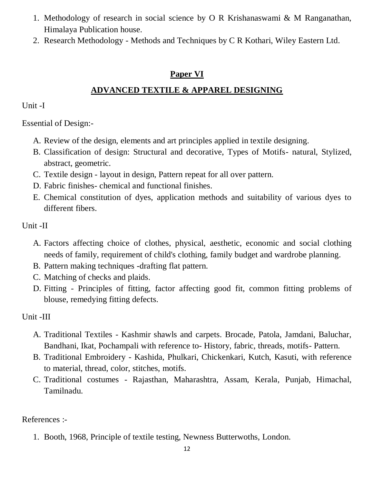- 1. Methodology of research in social science by O R Krishanaswami & M Ranganathan, Himalaya Publication house.
- 2. Research Methodology Methods and Techniques by C R Kothari, Wiley Eastern Ltd.

#### **Paper VI**

## **ADVANCED TEXTILE & APPAREL DESIGNING**

Unit -I

Essential of Design:-

- A. Review of the design, elements and art principles applied in textile designing.
- B. Classification of design: Structural and decorative, Types of Motifs- natural, Stylized, abstract, geometric.
- C. Textile design layout in design, Pattern repeat for all over pattern.
- D. Fabric finishes- chemical and functional finishes.
- E. Chemical constitution of dyes, application methods and suitability of various dyes to different fibers.

Unit -II

- A. Factors affecting choice of clothes, physical, aesthetic, economic and social clothing needs of family, requirement of child's clothing, family budget and wardrobe planning.
- B. Pattern making techniques -drafting flat pattern.
- C. Matching of checks and plaids.
- D. Fitting Principles of fitting, factor affecting good fit, common fitting problems of blouse, remedying fitting defects.

Unit -III

- A. Traditional Textiles Kashmir shawls and carpets. Brocade, Patola, Jamdani, Baluchar, Bandhani, Ikat, Pochampali with reference to- History, fabric, threads, motifs- Pattern.
- B. Traditional Embroidery Kashida, Phulkari, Chickenkari, Kutch, Kasuti, with reference to material, thread, color, stitches, motifs.
- C. Traditional costumes Rajasthan, Maharashtra, Assam, Kerala, Punjab, Himachal, Tamilnadu.

References :-

1. Booth, 1968, Principle of textile testing, Newness Butterwoths, London.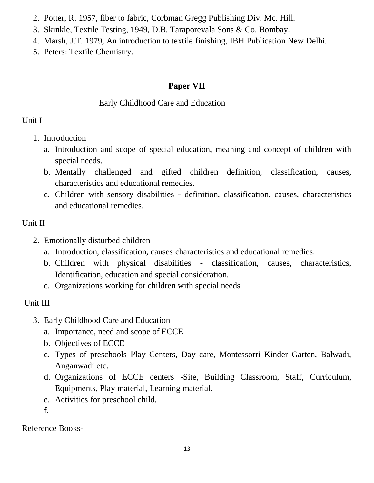- 2. Potter, R. 1957, fiber to fabric, Corbman Gregg Publishing Div. Mc. Hill.
- 3. Skinkle, Textile Testing, 1949, D.B. Taraporevala Sons & Co. Bombay.
- 4. Marsh, J.T. 1979, An introduction to textile finishing, IBH Publication New Delhi.
- 5. Peters: Textile Chemistry.

## **Paper VII**

#### Early Childhood Care and Education

## Unit I

- 1. Introduction
	- a. Introduction and scope of special education, meaning and concept of children with special needs.
	- b. Mentally challenged and gifted children definition, classification, causes, characteristics and educational remedies.
	- c. Children with sensory disabilities definition, classification, causes, characteristics and educational remedies.

## Unit II

- 2. Emotionally disturbed children
	- a. Introduction, classification, causes characteristics and educational remedies.
	- b. Children with physical disabilities classification, causes, characteristics, Identification, education and special consideration.
	- c. Organizations working for children with special needs

## Unit III

- 3. Early Childhood Care and Education
	- a. Importance, need and scope of ECCE
	- b. Objectives of ECCE
	- c. Types of preschools Play Centers, Day care, Montessorri Kinder Garten, Balwadi, Anganwadi etc.
	- d. Organizations of ECCE centers -Site, Building Classroom, Staff, Curriculum, Equipments, Play material, Learning material.
	- e. Activities for preschool child.
	- f.

Reference Books-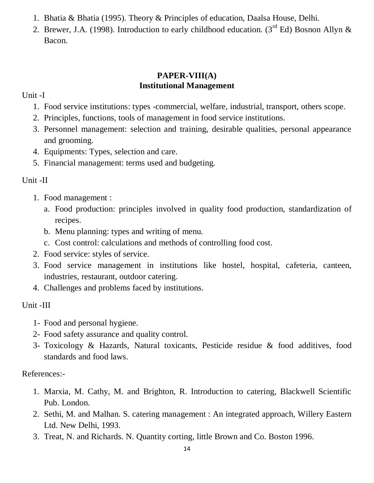- 1. Bhatia & Bhatia (1995). Theory & Principles of education, Daalsa House, Delhi.
- 2. Brewer, J.A. (1998). Introduction to early childhood education. (3<sup>rd</sup> Ed) Bosnon Allyn & Bacon.

#### **PAPER-VIII(A) Institutional Management**

Unit -I

- 1. Food service institutions: types -commercial, welfare, industrial, transport, others scope.
- 2. Principles, functions, tools of management in food service institutions.
- 3. Personnel management: selection and training, desirable qualities, personal appearance and grooming.
- 4. Equipments: Types, selection and care.
- 5. Financial management: terms used and budgeting.

## Unit -II

- 1. Food management :
	- a. Food production: principles involved in quality food production, standardization of recipes.
	- b. Menu planning: types and writing of menu.
	- c. Cost control: calculations and methods of controlling food cost.
- 2. Food service: styles of service.
- 3. Food service management in institutions like hostel, hospital, cafeteria, canteen, industries, restaurant, outdoor catering.
- 4. Challenges and problems faced by institutions.

## Unit -III

- 1- Food and personal hygiene.
- 2- Food safety assurance and quality control.
- 3- Toxicology & Hazards, Natural toxicants, Pesticide residue & food additives, food standards and food laws.

- 1. Marxia, M. Cathy, M. and Brighton, R. Introduction to catering, Blackwell Scientific Pub. London.
- 2. Sethi, M. and Malhan. S. catering management : An integrated approach, Willery Eastern Ltd. New Delhi, 1993.
- 3. Treat, N. and Richards. N. Quantity corting, little Brown and Co. Boston 1996.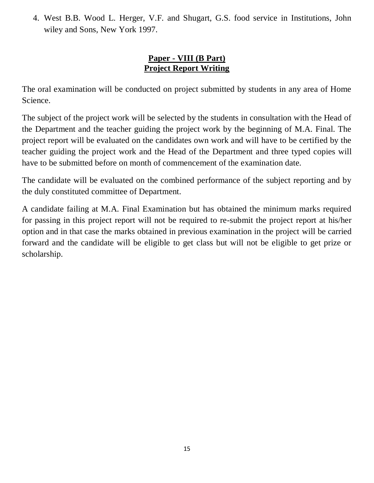4. West B.B. Wood L. Herger, V.F. and Shugart, G.S. food service in Institutions, John wiley and Sons, New York 1997.

#### **Paper - VIII (B Part) Project Report Writing**

The oral examination will be conducted on project submitted by students in any area of Home Science.

The subject of the project work will be selected by the students in consultation with the Head of the Department and the teacher guiding the project work by the beginning of M.A. Final. The project report will be evaluated on the candidates own work and will have to be certified by the teacher guiding the project work and the Head of the Department and three typed copies will have to be submitted before on month of commencement of the examination date.

The candidate will be evaluated on the combined performance of the subject reporting and by the duly constituted committee of Department.

A candidate failing at M.A. Final Examination but has obtained the minimum marks required for passing in this project report will not be required to re-submit the project report at his/her option and in that case the marks obtained in previous examination in the project will be carried forward and the candidate will be eligible to get class but will not be eligible to get prize or scholarship.